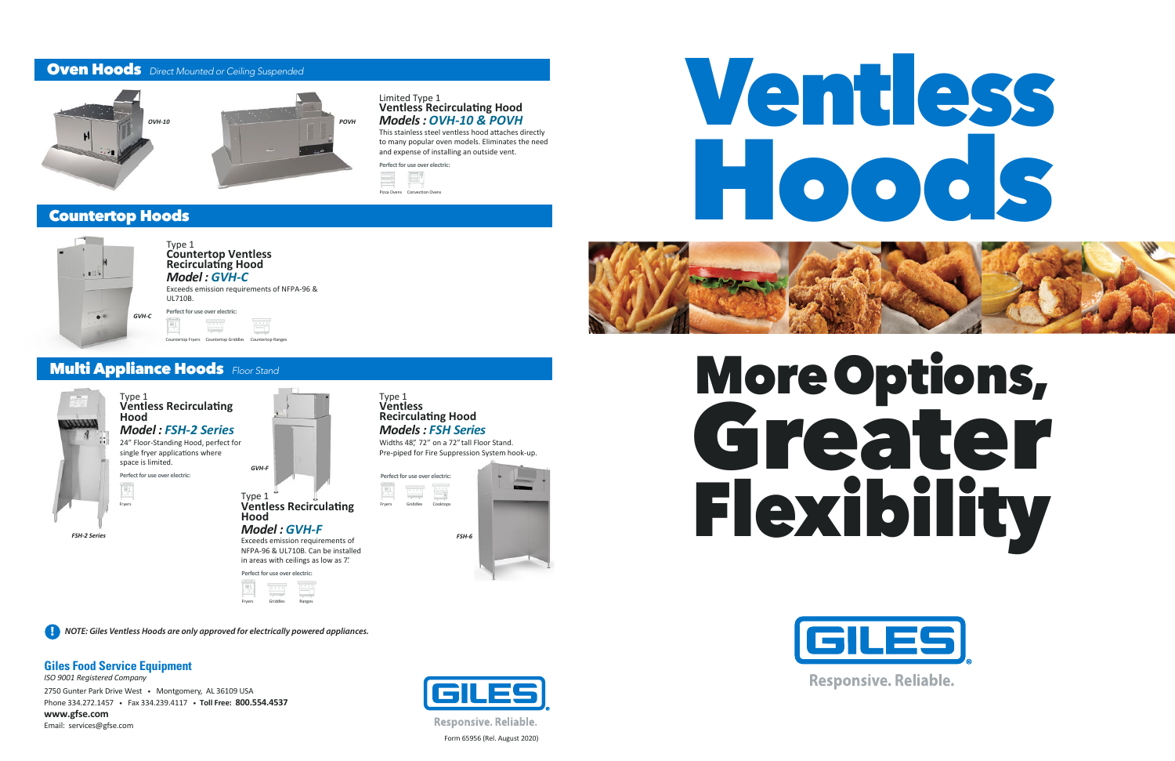# Ventless Hoods



# More Options, Greater Flexibility



**Responsive. Reliable.**